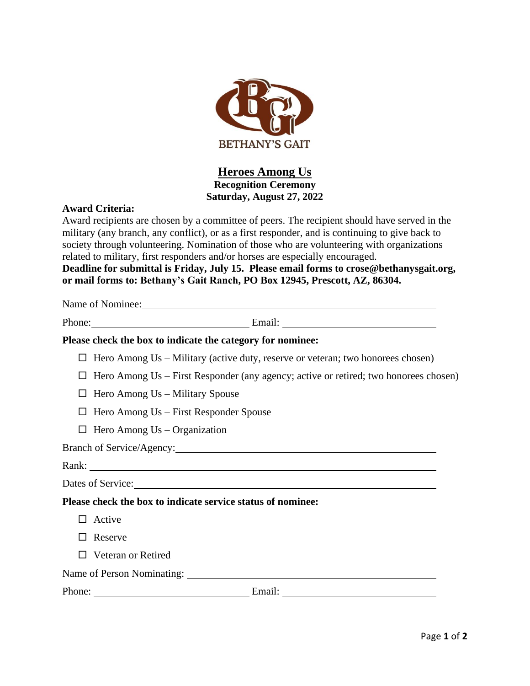

## **Heroes Among Us Recognition Ceremony Saturday, August 27, 2022**

## **Award Criteria:**

Award recipients are chosen by a committee of peers. The recipient should have served in the military (any branch, any conflict), or as a first responder, and is continuing to give back to society through volunteering. Nomination of those who are volunteering with organizations related to military, first responders and/or horses are especially encouraged. **Deadline for submittal is Friday, July 15. Please email forms to crose@bethanysgait.org, or mail forms to: Bethany's Gait Ranch, PO Box 12945, Prescott, AZ, 86304.**

Name of Nominee: Name of Nominee:

Phone: Email: Email:

## **Please check the box to indicate the category for nominee:**

- $\Box$  Hero Among Us Military (active duty, reserve or veteran; two honorees chosen)
- $\Box$  Hero Among Us First Responder (any agency; active or retired; two honorees chosen)
- $\Box$  Hero Among Us Military Spouse
- $\Box$  Hero Among Us First Responder Spouse
- $\Box$  Hero Among Us Organization

## Branch of Service/Agency: 2008. [2016]

Dates of Service:

**Please check the box to indicate service status of nominee:**

- $\Box$  Active
- □ Reserve
- □ Veteran or Retired

Name of Person Nominating:

| Phone: | _______ |  |
|--------|---------|--|
|        |         |  |